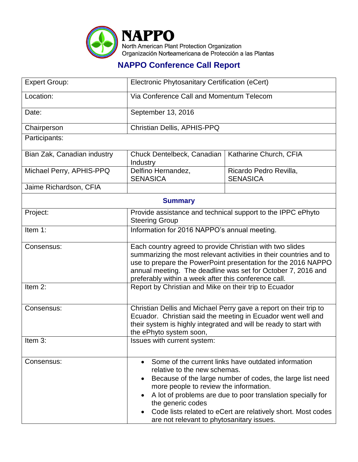

## **NAPPO Conference Call Report**

| <b>Expert Group:</b>        | Electronic Phytosanitary Certification (eCert)                                                                                                                                                                                                                                                                                                                                                           |                                           |  |  |
|-----------------------------|----------------------------------------------------------------------------------------------------------------------------------------------------------------------------------------------------------------------------------------------------------------------------------------------------------------------------------------------------------------------------------------------------------|-------------------------------------------|--|--|
| Location:                   | Via Conference Call and Momentum Telecom                                                                                                                                                                                                                                                                                                                                                                 |                                           |  |  |
| Date:                       | September 13, 2016                                                                                                                                                                                                                                                                                                                                                                                       |                                           |  |  |
| Chairperson                 | Christian Dellis, APHIS-PPQ                                                                                                                                                                                                                                                                                                                                                                              |                                           |  |  |
| Participants:               |                                                                                                                                                                                                                                                                                                                                                                                                          |                                           |  |  |
| Bian Zak, Canadian industry | Chuck Dentelbeck, Canadian<br>Industry                                                                                                                                                                                                                                                                                                                                                                   | Katharine Church, CFIA                    |  |  |
| Michael Perry, APHIS-PPQ    | Delfino Hernandez,<br><b>SENASICA</b>                                                                                                                                                                                                                                                                                                                                                                    | Ricardo Pedro Revilla,<br><b>SENASICA</b> |  |  |
| Jaime Richardson, CFIA      |                                                                                                                                                                                                                                                                                                                                                                                                          |                                           |  |  |
| <b>Summary</b>              |                                                                                                                                                                                                                                                                                                                                                                                                          |                                           |  |  |
| Project:                    | Provide assistance and technical support to the IPPC ePhyto<br><b>Steering Group</b>                                                                                                                                                                                                                                                                                                                     |                                           |  |  |
| Item 1:                     | Information for 2016 NAPPO's annual meeting.                                                                                                                                                                                                                                                                                                                                                             |                                           |  |  |
| Consensus:                  | Each country agreed to provide Christian with two slides<br>summarizing the most relevant activities in their countries and to<br>use to prepare the PowerPoint presentation for the 2016 NAPPO<br>annual meeting. The deadline was set for October 7, 2016 and<br>preferably within a week after this conference call.                                                                                  |                                           |  |  |
| Item 2:                     | Report by Christian and Mike on their trip to Ecuador                                                                                                                                                                                                                                                                                                                                                    |                                           |  |  |
| Consensus:                  | Christian Dellis and Michael Perry gave a report on their trip to<br>Ecuador. Christian said the meeting in Ecuador went well and<br>their system is highly integrated and will be ready to start with<br>the ePhyto system soon,                                                                                                                                                                        |                                           |  |  |
| Item $3$ :                  | Issues with current system:                                                                                                                                                                                                                                                                                                                                                                              |                                           |  |  |
| Consensus:                  | Some of the current links have outdated information<br>$\bullet$<br>relative to the new schemas.<br>Because of the large number of codes, the large list need<br>more people to review the information.<br>A lot of problems are due to poor translation specially for<br>the generic codes<br>Code lists related to eCert are relatively short. Most codes<br>are not relevant to phytosanitary issues. |                                           |  |  |